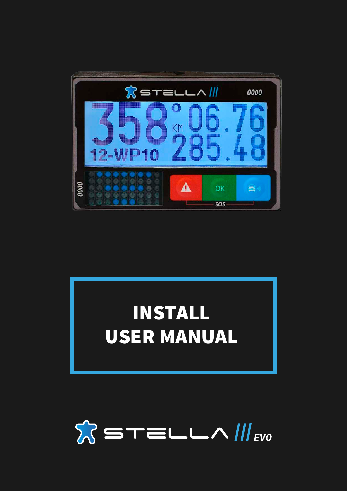

# INSTALL USER MANUAL

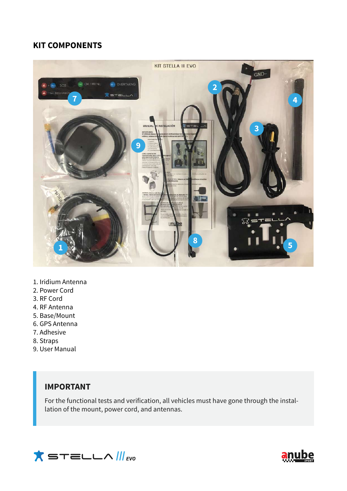## **KIT COMPONENTS**



- 1. Iridium Antenna
- 2. Power Cord
- 3. RF Cord
- 4. RF Antenna
- 5. Base/Mount
- 6. GPS Antenna
- 7. Adhesive
- 8. Straps
- 9. User Manual

## **IMPORTANT**

For the functional tests and verification, all vehicles must have gone through the installation of the mount, power cord, and antennas.



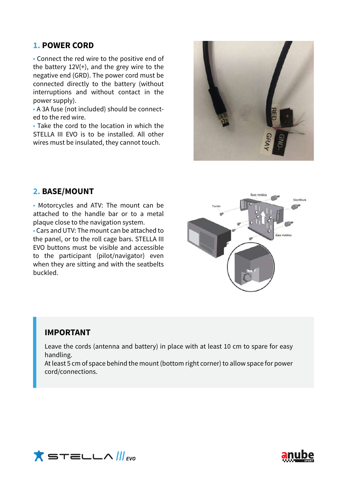## **1. POWER CORD**

• Connect the red wire to the positive end of the battery 12V(+), and the grey wire to the negative end (GRD). The power cord must be connected directly to the battery (without interruptions and without contact in the power supply).

• A 3A fuse (not included) should be connected to the red wire.

• Take the cord to the location in which the STELLA III EVO is to be installed. All other wires must be insulated, they cannot touch.



## **2. BASE/MOUNT**

• Motorcycles and ATV: The mount can be attached to the handle bar or to a metal plaque close to the navigation system.

• Cars and UTV: The mount can be attached to the panel, or to the roll cage bars. STELLA III EVO buttons must be visible and accessible to the participant (pilot/navigator) even when they are sitting and with the seatbelts buckled.



#### **IMPORTANT**

Leave the cords (antenna and battery) in place with at least 10 cm to spare for easy handling.

At least 5 cm of space behind the mount (bottom right corner) to allow space for power cord/connections.



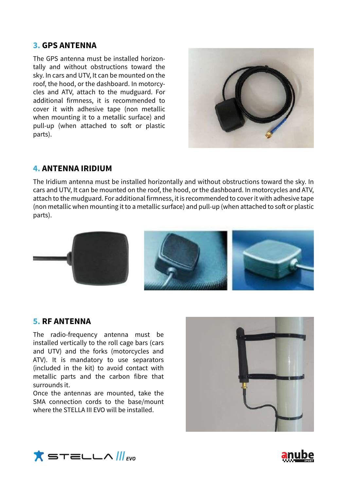## **3. GPS ANTENNA**

The GPS antenna must be installed horizontally and without obstructions toward the sky. In cars and UTV, It can be mounted on the roof, the hood, or the dashboard. In motorcycles and ATV, attach to the mudguard. For additional firmness, it is recommended to cover it with adhesive tape (non metallic when mounting it to a metallic surface) and pull-up (when attached to soft or plastic parts).



## **4. ANTENNA IRIDIUM**

The Iridium antenna must be installed horizontally and without obstructions toward the sky. In cars and UTV, It can be mounted on the roof, the hood, or the dashboard. In motorcycles and ATV, attach to the mudguard. For additional firmness, it is recommended to cover it with adhesive tape (non metallic when mounting it to a metallic surface) and pull-up (when attached to soft or plastic parts).



#### **5. RF ANTENNA**

The radio-frequency antenna must be installed vertically to the roll cage bars (cars and UTV) and the forks (motorcycles and ATV). It is mandatory to use separators (included in the kit) to avoid contact with metallic parts and the carbon fibre that surrounds it.

Once the antennas are mounted, take the SMA connection cords to the base/mount where the STELLA III FVO will be installed





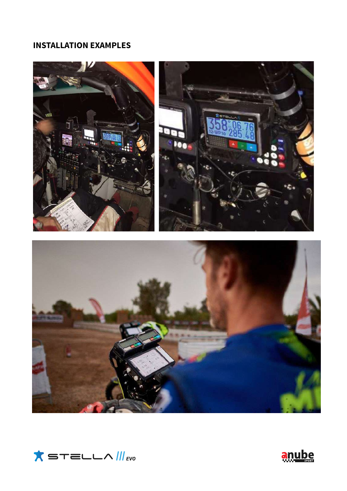## **INSTALLATION EXAMPLES**





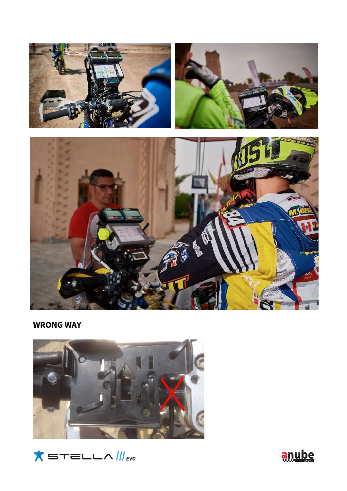

**WRONG WAY**